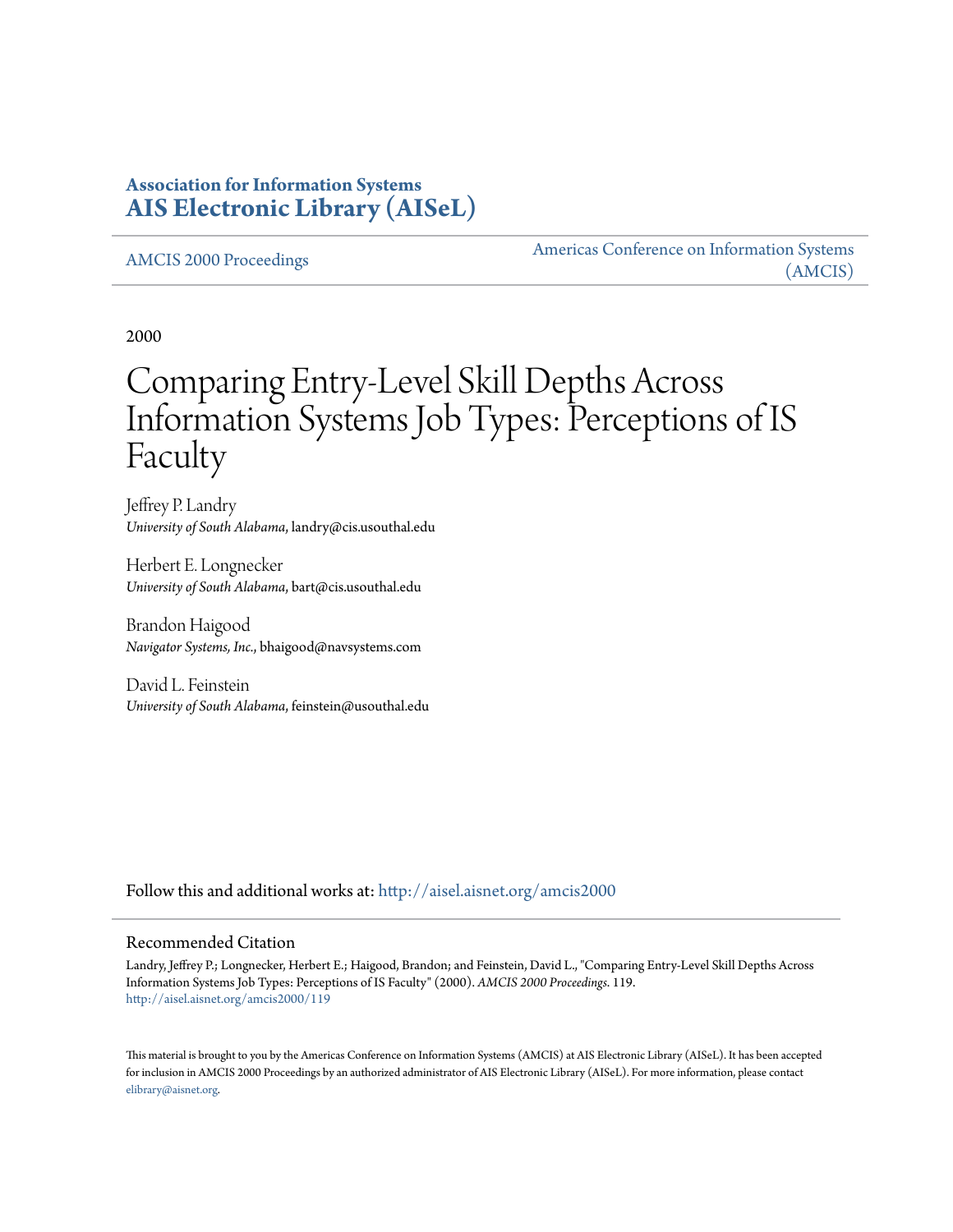# **Association for Information Systems [AIS Electronic Library \(AISeL\)](http://aisel.aisnet.org?utm_source=aisel.aisnet.org%2Famcis2000%2F119&utm_medium=PDF&utm_campaign=PDFCoverPages)**

[AMCIS 2000 Proceedings](http://aisel.aisnet.org/amcis2000?utm_source=aisel.aisnet.org%2Famcis2000%2F119&utm_medium=PDF&utm_campaign=PDFCoverPages)

[Americas Conference on Information Systems](http://aisel.aisnet.org/amcis?utm_source=aisel.aisnet.org%2Famcis2000%2F119&utm_medium=PDF&utm_campaign=PDFCoverPages) [\(AMCIS\)](http://aisel.aisnet.org/amcis?utm_source=aisel.aisnet.org%2Famcis2000%2F119&utm_medium=PDF&utm_campaign=PDFCoverPages)

2000

# Comparing Entry-Level Skill Depths Across Information Systems Job Types: Perceptions of IS Faculty

Jeffrey P. Landry *University of South Alabama*, landry@cis.usouthal.edu

Herbert E. Longnecker *University of South Alabama*, bart@cis.usouthal.edu

Brandon Haigood *Navigator Systems, Inc.*, bhaigood@navsystems.com

David L. Feinstein *University of South Alabama*, feinstein@usouthal.edu

Follow this and additional works at: [http://aisel.aisnet.org/amcis2000](http://aisel.aisnet.org/amcis2000?utm_source=aisel.aisnet.org%2Famcis2000%2F119&utm_medium=PDF&utm_campaign=PDFCoverPages)

#### Recommended Citation

Landry, Jeffrey P.; Longnecker, Herbert E.; Haigood, Brandon; and Feinstein, David L., "Comparing Entry-Level Skill Depths Across Information Systems Job Types: Perceptions of IS Faculty" (2000). *AMCIS 2000 Proceedings*. 119. [http://aisel.aisnet.org/amcis2000/119](http://aisel.aisnet.org/amcis2000/119?utm_source=aisel.aisnet.org%2Famcis2000%2F119&utm_medium=PDF&utm_campaign=PDFCoverPages)

This material is brought to you by the Americas Conference on Information Systems (AMCIS) at AIS Electronic Library (AISeL). It has been accepted for inclusion in AMCIS 2000 Proceedings by an authorized administrator of AIS Electronic Library (AISeL). For more information, please contact [elibrary@aisnet.org.](mailto:elibrary@aisnet.org%3E)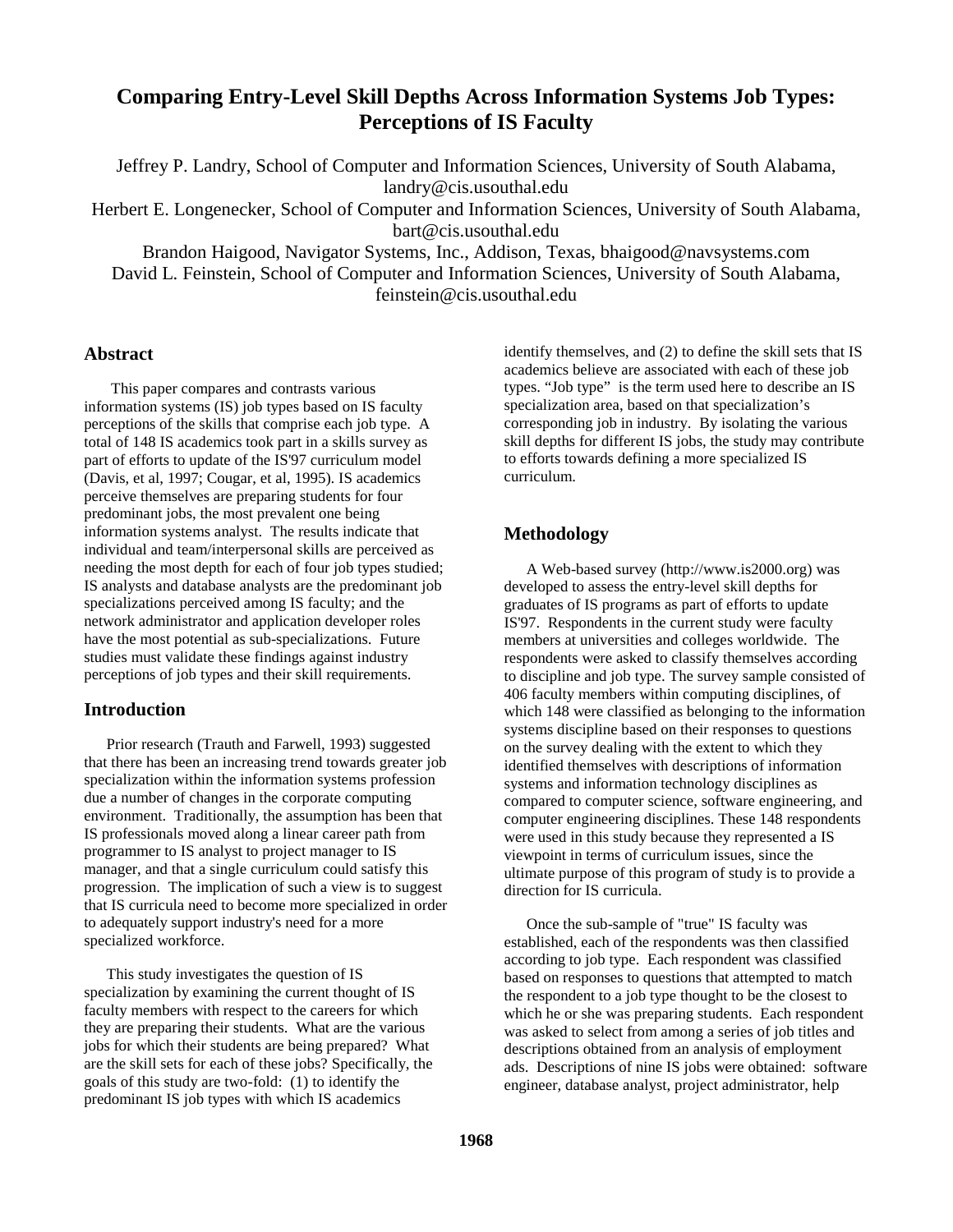# **Comparing Entry-Level Skill Depths Across Information Systems Job Types: Perceptions of IS Faculty**

Jeffrey P. Landry, School of Computer and Information Sciences, University of South Alabama, landry@cis.usouthal.edu

Herbert E. Longenecker, School of Computer and Information Sciences, University of South Alabama, bart@cis.usouthal.edu

Brandon Haigood, Navigator Systems, Inc., Addison, Texas, bhaigood@navsystems.com

David L. Feinstein, School of Computer and Information Sciences, University of South Alabama, feinstein@cis.usouthal.edu

## **Abstract**

This paper compares and contrasts various information systems (IS) job types based on IS faculty perceptions of the skills that comprise each job type. A total of 148 IS academics took part in a skills survey as part of efforts to update of the IS'97 curriculum model (Davis, et al, 1997; Cougar, et al, 1995). IS academics perceive themselves are preparing students for four predominant jobs, the most prevalent one being information systems analyst. The results indicate that individual and team/interpersonal skills are perceived as needing the most depth for each of four job types studied; IS analysts and database analysts are the predominant job specializations perceived among IS faculty; and the network administrator and application developer roles have the most potential as sub-specializations. Future studies must validate these findings against industry perceptions of job types and their skill requirements.

# **Introduction**

Prior research (Trauth and Farwell, 1993) suggested that there has been an increasing trend towards greater job specialization within the information systems profession due a number of changes in the corporate computing environment. Traditionally, the assumption has been that IS professionals moved along a linear career path from programmer to IS analyst to project manager to IS manager, and that a single curriculum could satisfy this progression. The implication of such a view is to suggest that IS curricula need to become more specialized in order to adequately support industry's need for a more specialized workforce.

This study investigates the question of IS specialization by examining the current thought of IS faculty members with respect to the careers for which they are preparing their students. What are the various jobs for which their students are being prepared? What are the skill sets for each of these jobs? Specifically, the goals of this study are two-fold: (1) to identify the predominant IS job types with which IS academics

identify themselves, and (2) to define the skill sets that IS academics believe are associated with each of these job types. "Job type" is the term used here to describe an IS specialization area, based on that specialization's corresponding job in industry. By isolating the various skill depths for different IS jobs, the study may contribute to efforts towards defining a more specialized IS curriculum.

# **Methodology**

A Web-based survey (http://www.is2000.org) was developed to assess the entry-level skill depths for graduates of IS programs as part of efforts to update IS'97. Respondents in the current study were faculty members at universities and colleges worldwide. The respondents were asked to classify themselves according to discipline and job type. The survey sample consisted of 406 faculty members within computing disciplines, of which 148 were classified as belonging to the information systems discipline based on their responses to questions on the survey dealing with the extent to which they identified themselves with descriptions of information systems and information technology disciplines as compared to computer science, software engineering, and computer engineering disciplines. These 148 respondents were used in this study because they represented a IS viewpoint in terms of curriculum issues, since the ultimate purpose of this program of study is to provide a direction for IS curricula.

Once the sub-sample of "true" IS faculty was established, each of the respondents was then classified according to job type. Each respondent was classified based on responses to questions that attempted to match the respondent to a job type thought to be the closest to which he or she was preparing students. Each respondent was asked to select from among a series of job titles and descriptions obtained from an analysis of employment ads. Descriptions of nine IS jobs were obtained: software engineer, database analyst, project administrator, help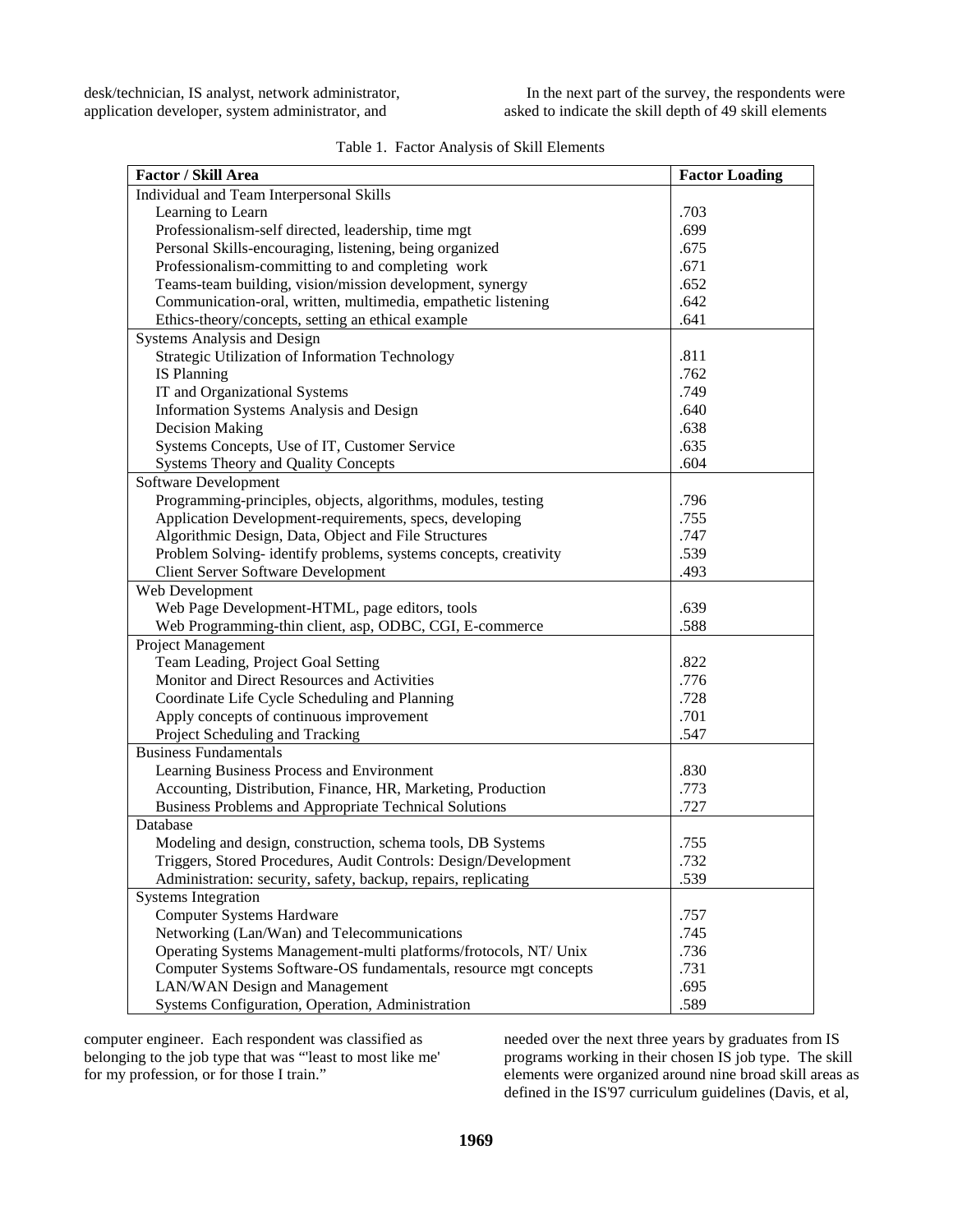| Factor / Skill Area                                              | <b>Factor Loading</b> |
|------------------------------------------------------------------|-----------------------|
| Individual and Team Interpersonal Skills                         |                       |
| Learning to Learn                                                | .703                  |
| Professionalism-self directed, leadership, time mgt              | .699                  |
| Personal Skills-encouraging, listening, being organized          | .675                  |
| Professionalism-committing to and completing work                | .671                  |
| Teams-team building, vision/mission development, synergy         | .652                  |
| Communication-oral, written, multimedia, empathetic listening    | .642                  |
| Ethics-theory/concepts, setting an ethical example               | .641                  |
| Systems Analysis and Design                                      |                       |
| Strategic Utilization of Information Technology                  | .811                  |
| <b>IS Planning</b>                                               | .762                  |
| IT and Organizational Systems                                    | .749                  |
| Information Systems Analysis and Design                          | .640                  |
| <b>Decision Making</b>                                           | .638                  |
| Systems Concepts, Use of IT, Customer Service                    | .635                  |
| <b>Systems Theory and Quality Concepts</b>                       | .604                  |
| Software Development                                             |                       |
| Programming-principles, objects, algorithms, modules, testing    | .796                  |
| Application Development-requirements, specs, developing          | .755                  |
| Algorithmic Design, Data, Object and File Structures             | .747                  |
| Problem Solving-identify problems, systems concepts, creativity  | .539                  |
| <b>Client Server Software Development</b>                        | .493                  |
| Web Development                                                  |                       |
| Web Page Development-HTML, page editors, tools                   | .639                  |
| Web Programming-thin client, asp, ODBC, CGI, E-commerce          | .588                  |
| Project Management                                               |                       |
| Team Leading, Project Goal Setting                               | .822                  |
| Monitor and Direct Resources and Activities                      | .776                  |
| Coordinate Life Cycle Scheduling and Planning                    | .728                  |
| Apply concepts of continuous improvement                         | .701                  |
| Project Scheduling and Tracking                                  | .547                  |
| <b>Business Fundamentals</b>                                     |                       |
| Learning Business Process and Environment                        | .830                  |
| Accounting, Distribution, Finance, HR, Marketing, Production     | .773                  |
| Business Problems and Appropriate Technical Solutions            | .727                  |
| Database                                                         |                       |
| Modeling and design, construction, schema tools, DB Systems      | .755                  |
| Triggers, Stored Procedures, Audit Controls: Design/Development  | .732                  |
| Administration: security, safety, backup, repairs, replicating   | .539                  |
| <b>Systems Integration</b>                                       |                       |
| <b>Computer Systems Hardware</b>                                 | .757                  |
| Networking (Lan/Wan) and Telecommunications                      | .745                  |
| Operating Systems Management-multi platforms/frotocols, NT/ Unix | .736                  |
| Computer Systems Software-OS fundamentals, resource mgt concepts | .731                  |
| LAN/WAN Design and Management                                    | .695                  |
| Systems Configuration, Operation, Administration                 | .589                  |

| Table 1. Factor Analysis of Skill Elements |
|--------------------------------------------|
|--------------------------------------------|

computer engineer. Each respondent was classified as belonging to the job type that was "'least to most like me' for my profession, or for those I train."

needed over the next three years by graduates from IS programs working in their chosen IS job type. The skill elements were organized around nine broad skill areas as defined in the IS'97 curriculum guidelines (Davis, et al,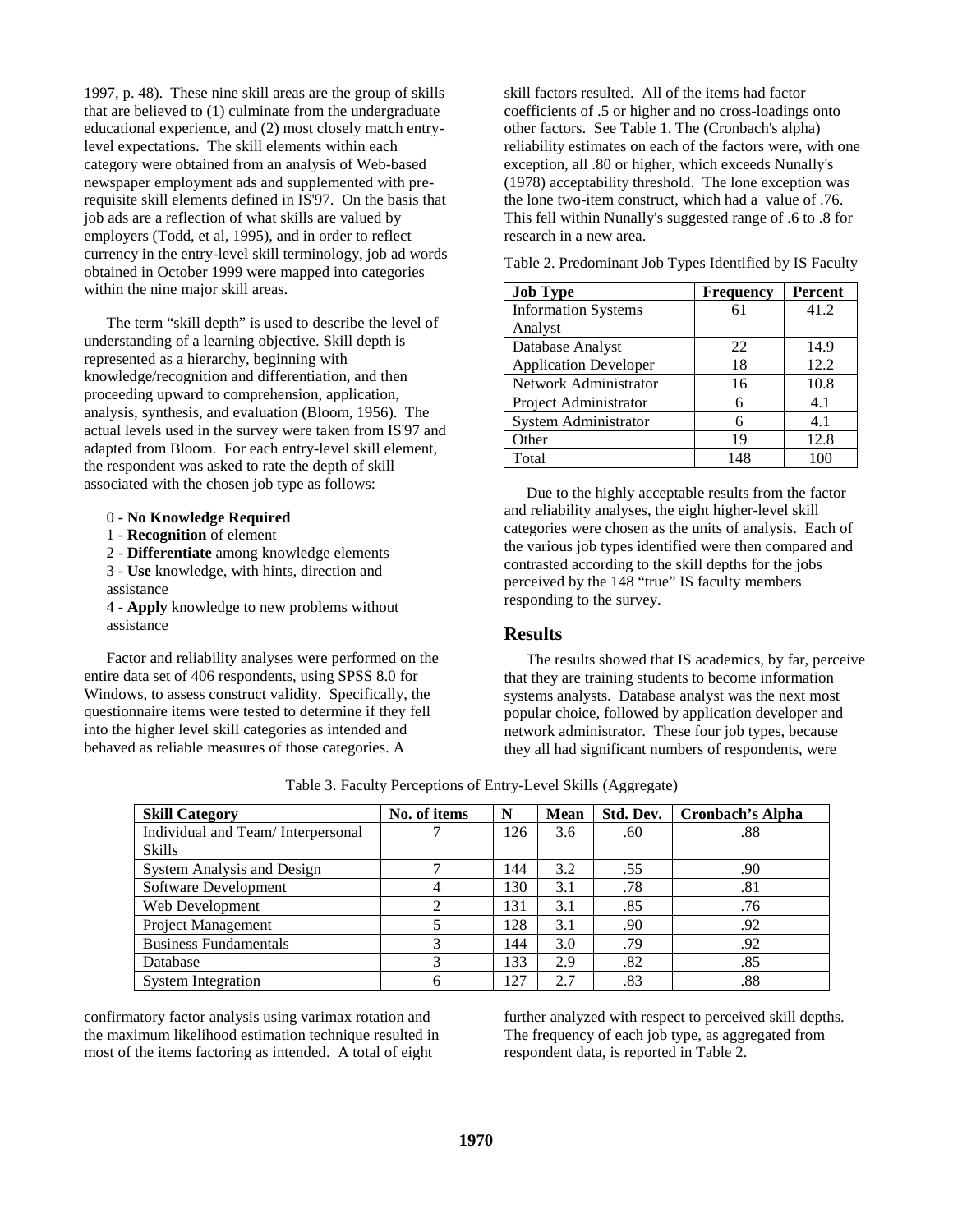1997, p. 48). These nine skill areas are the group of skills that are believed to (1) culminate from the undergraduate educational experience, and (2) most closely match entrylevel expectations. The skill elements within each category were obtained from an analysis of Web-based newspaper employment ads and supplemented with prerequisite skill elements defined in IS'97. On the basis that job ads are a reflection of what skills are valued by employers (Todd, et al, 1995), and in order to reflect currency in the entry-level skill terminology, job ad words obtained in October 1999 were mapped into categories within the nine major skill areas.

The term "skill depth" is used to describe the level of understanding of a learning objective. Skill depth is represented as a hierarchy, beginning with knowledge/recognition and differentiation, and then proceeding upward to comprehension, application, analysis, synthesis, and evaluation (Bloom, 1956). The actual levels used in the survey were taken from IS'97 and adapted from Bloom. For each entry-level skill element, the respondent was asked to rate the depth of skill associated with the chosen job type as follows:

0 - **No Knowledge Required**

- 1 **Recognition** of element
- 2 **Differentiate** among knowledge elements
- 3 **Use** knowledge, with hints, direction and assistance

4 - **Apply** knowledge to new problems without assistance

Factor and reliability analyses were performed on the entire data set of 406 respondents, using SPSS 8.0 for Windows, to assess construct validity. Specifically, the questionnaire items were tested to determine if they fell into the higher level skill categories as intended and behaved as reliable measures of those categories. A

skill factors resulted. All of the items had factor coefficients of .5 or higher and no cross-loadings onto other factors. See Table 1. The (Cronbach's alpha) reliability estimates on each of the factors were, with one exception, all .80 or higher, which exceeds Nunally's (1978) acceptability threshold. The lone exception was the lone two-item construct, which had a value of .76. This fell within Nunally's suggested range of .6 to .8 for research in a new area.

Table 2. Predominant Job Types Identified by IS Faculty

| <b>Job Type</b>              | <b>Frequency</b> | <b>Percent</b> |
|------------------------------|------------------|----------------|
| <b>Information Systems</b>   | 61               | 41.2           |
| Analyst                      |                  |                |
| Database Analyst             | 22               | 14.9           |
| <b>Application Developer</b> | 18               | 12.2           |
| Network Administrator        | 16               | 10.8           |
| Project Administrator        | 6                | 4.1            |
| System Administrator         | 6                | 4.1            |
| Other                        | 19               | 12.8           |
| Total                        | 148              | 100            |

Due to the highly acceptable results from the factor and reliability analyses, the eight higher-level skill categories were chosen as the units of analysis. Each of the various job types identified were then compared and contrasted according to the skill depths for the jobs perceived by the 148 "true" IS faculty members responding to the survey.

## **Results**

The results showed that IS academics, by far, perceive that they are training students to become information systems analysts. Database analyst was the next most popular choice, followed by application developer and network administrator. These four job types, because they all had significant numbers of respondents, were

| <b>Skill Category</b>             | No. of items | N   | <b>Mean</b> | Std. Dev. | Cronbach's Alpha |
|-----------------------------------|--------------|-----|-------------|-----------|------------------|
|                                   |              |     |             |           |                  |
| Individual and Team/Interpersonal |              | 126 | 3.6         | .60       | .88              |
| Skills                            |              |     |             |           |                  |
| <b>System Analysis and Design</b> |              | 144 | 3.2         | .55       | .90              |
| Software Development              |              | 130 | 3.1         | .78       | .81              |
| Web Development                   |              | 131 | 3.1         | .85       | .76              |
| <b>Project Management</b>         |              | 128 | 3.1         | .90       | .92              |
| <b>Business Fundamentals</b>      | 3            | 144 | 3.0         | .79       | .92              |
| Database                          | 3            | 133 | 2.9         | .82       | .85              |
| <b>System Integration</b>         | 6            | 127 | 2.7         | .83       | .88              |

Table 3. Faculty Perceptions of Entry-Level Skills (Aggregate)

confirmatory factor analysis using varimax rotation and the maximum likelihood estimation technique resulted in most of the items factoring as intended. A total of eight

further analyzed with respect to perceived skill depths. The frequency of each job type, as aggregated from respondent data, is reported in Table 2.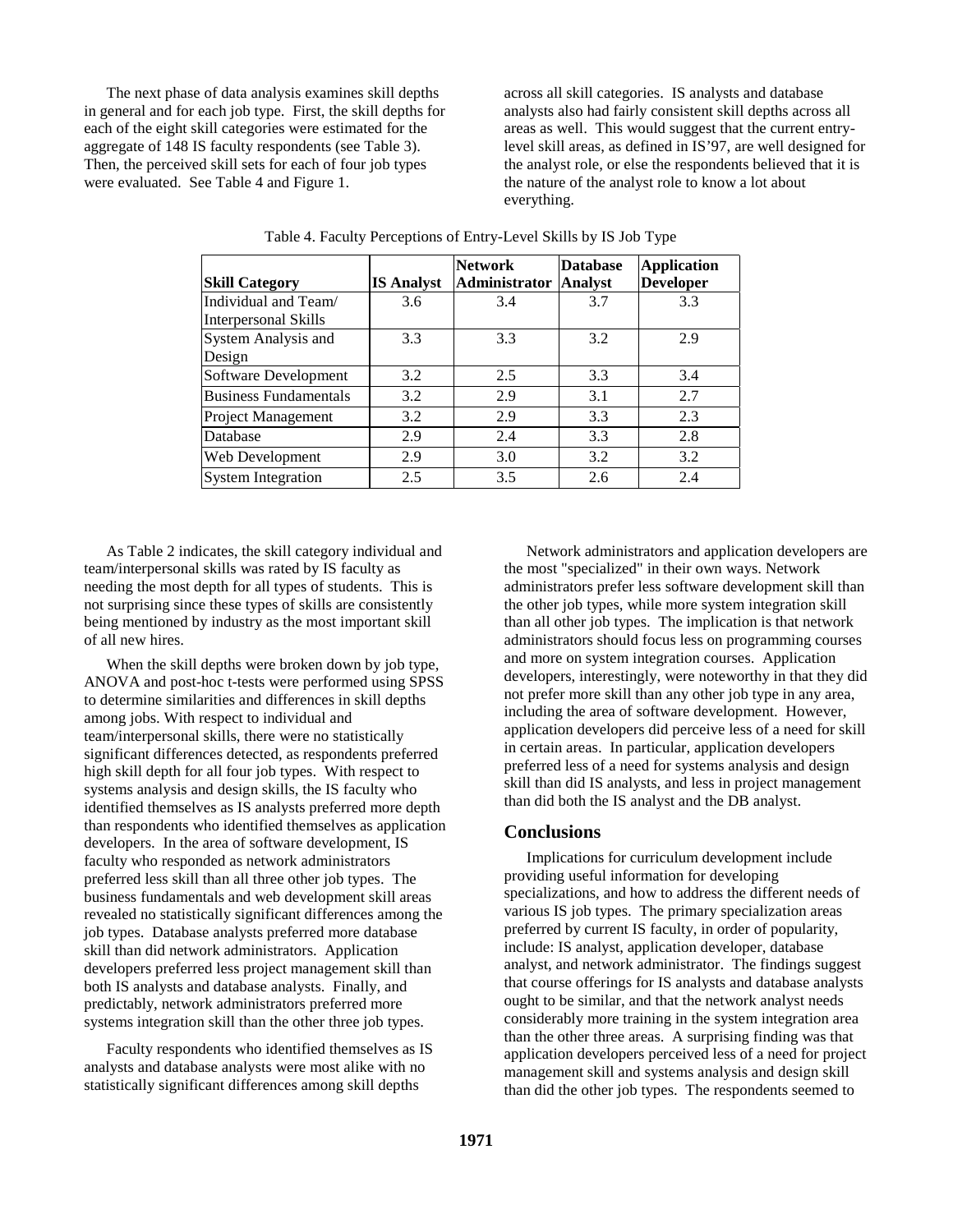The next phase of data analysis examines skill depths in general and for each job type. First, the skill depths for each of the eight skill categories were estimated for the aggregate of 148 IS faculty respondents (see Table 3). Then, the perceived skill sets for each of four job types were evaluated. See Table 4 and Figure 1.

across all skill categories. IS analysts and database analysts also had fairly consistent skill depths across all areas as well. This would suggest that the current entrylevel skill areas, as defined in IS'97, are well designed for the analyst role, or else the respondents believed that it is the nature of the analyst role to know a lot about everything.

|                              |                   | <b>Network</b>               | <b>Database</b> | <b>Application</b> |
|------------------------------|-------------------|------------------------------|-----------------|--------------------|
| <b>Skill Category</b>        | <b>IS Analyst</b> | <b>Administrator Analyst</b> |                 | <b>Developer</b>   |
| Individual and Team/         | 3.6               | 3.4                          | 3.7             | 3.3                |
| <b>Interpersonal Skills</b>  |                   |                              |                 |                    |
| System Analysis and          | 3.3               | 3.3                          | 3.2             | 2.9                |
| Design                       |                   |                              |                 |                    |
| Software Development         | 3.2               | 2.5                          | 3.3             | 3.4                |
| <b>Business Fundamentals</b> | 3.2               | 2.9                          | 3.1             | 2.7                |
| <b>Project Management</b>    | 3.2               | 2.9                          | 3.3             | 2.3                |
| Database                     | 2.9               | 2.4                          | 3.3             | 2.8                |
| Web Development              | 2.9               | 3.0                          | 3.2             | 3.2                |
| <b>System Integration</b>    | 2.5               | 3.5                          | 2.6             | 2.4                |

| Table 4. Faculty Perceptions of Entry-Level Skills by IS Job Type |  |  |  |  |  |
|-------------------------------------------------------------------|--|--|--|--|--|
|                                                                   |  |  |  |  |  |

As Table 2 indicates, the skill category individual and team/interpersonal skills was rated by IS faculty as needing the most depth for all types of students. This is not surprising since these types of skills are consistently being mentioned by industry as the most important skill of all new hires.

When the skill depths were broken down by job type, ANOVA and post-hoc t-tests were performed using SPSS to determine similarities and differences in skill depths among jobs. With respect to individual and team/interpersonal skills, there were no statistically significant differences detected, as respondents preferred high skill depth for all four job types. With respect to systems analysis and design skills, the IS faculty who identified themselves as IS analysts preferred more depth than respondents who identified themselves as application developers. In the area of software development, IS faculty who responded as network administrators preferred less skill than all three other job types. The business fundamentals and web development skill areas revealed no statistically significant differences among the job types. Database analysts preferred more database skill than did network administrators. Application developers preferred less project management skill than both IS analysts and database analysts. Finally, and predictably, network administrators preferred more systems integration skill than the other three job types.

Faculty respondents who identified themselves as IS analysts and database analysts were most alike with no statistically significant differences among skill depths

Network administrators and application developers are the most "specialized" in their own ways. Network administrators prefer less software development skill than the other job types, while more system integration skill than all other job types. The implication is that network administrators should focus less on programming courses and more on system integration courses. Application developers, interestingly, were noteworthy in that they did not prefer more skill than any other job type in any area, including the area of software development. However, application developers did perceive less of a need for skill in certain areas. In particular, application developers preferred less of a need for systems analysis and design skill than did IS analysts, and less in project management than did both the IS analyst and the DB analyst.

## **Conclusions**

Implications for curriculum development include providing useful information for developing specializations, and how to address the different needs of various IS job types. The primary specialization areas preferred by current IS faculty, in order of popularity, include: IS analyst, application developer, database analyst, and network administrator. The findings suggest that course offerings for IS analysts and database analysts ought to be similar, and that the network analyst needs considerably more training in the system integration area than the other three areas. A surprising finding was that application developers perceived less of a need for project management skill and systems analysis and design skill than did the other job types. The respondents seemed to